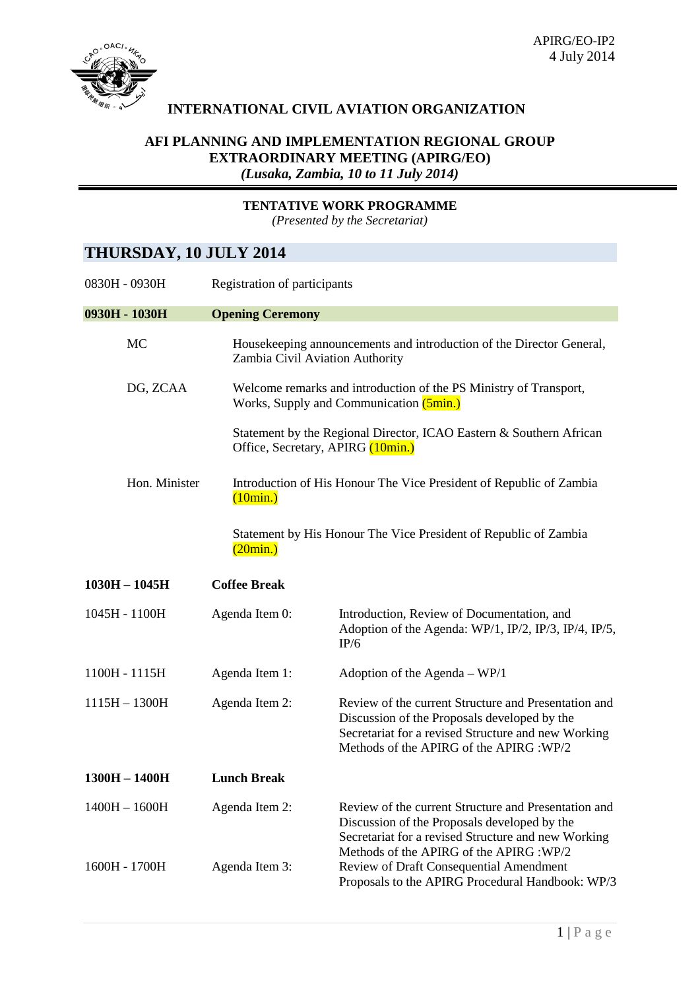

## **INTERNATIONAL CIVIL AVIATION ORGANIZATION**

## **AFI PLANNING AND IMPLEMENTATION REGIONAL GROUP EXTRAORDINARY MEETING (APIRG/EO)** *(Lusaka, Zambia, 10 to 11 July 2014)*

**TENTATIVE WORK PROGRAMME**

*(Presented by the Secretariat)*

## **THURSDAY, 10 JULY 2014**

| 0830H - 0930H   | Registration of participants |                                                                                                                                                                                                         |  |
|-----------------|------------------------------|---------------------------------------------------------------------------------------------------------------------------------------------------------------------------------------------------------|--|
| 0930H - 1030H   | <b>Opening Ceremony</b>      |                                                                                                                                                                                                         |  |
| MC              |                              | Housekeeping announcements and introduction of the Director General,<br>Zambia Civil Aviation Authority                                                                                                 |  |
| DG, ZCAA        |                              | Welcome remarks and introduction of the PS Ministry of Transport,<br>Works, Supply and Communication (5min.)                                                                                            |  |
|                 |                              | Statement by the Regional Director, ICAO Eastern & Southern African<br>Office, Secretary, APIRG (10min.)                                                                                                |  |
| Hon. Minister   | (10min.)                     | Introduction of His Honour The Vice President of Republic of Zambia                                                                                                                                     |  |
|                 | (20min.)                     | Statement by His Honour The Vice President of Republic of Zambia                                                                                                                                        |  |
| $1030H - 1045H$ | <b>Coffee Break</b>          |                                                                                                                                                                                                         |  |
| 1045H - 1100H   | Agenda Item 0:               | Introduction, Review of Documentation, and<br>Adoption of the Agenda: WP/1, IP/2, IP/3, IP/4, IP/5,<br>IP/6                                                                                             |  |
| 1100H - 1115H   | Agenda Item 1:               | Adoption of the Agenda $-$ WP/1                                                                                                                                                                         |  |
| $1115H - 1300H$ | Agenda Item 2:               | Review of the current Structure and Presentation and<br>Discussion of the Proposals developed by the<br>Secretariat for a revised Structure and new Working<br>Methods of the APIRG of the APIRG : WP/2 |  |
| $1300H - 1400H$ | <b>Lunch Break</b>           |                                                                                                                                                                                                         |  |
| $1400H - 1600H$ | Agenda Item 2:               | Review of the current Structure and Presentation and<br>Discussion of the Proposals developed by the<br>Secretariat for a revised Structure and new Working<br>Methods of the APIRG of the APIRG: WP/2  |  |
| 1600H - 1700H   | Agenda Item 3:               | Review of Draft Consequential Amendment<br>Proposals to the APIRG Procedural Handbook: WP/3                                                                                                             |  |